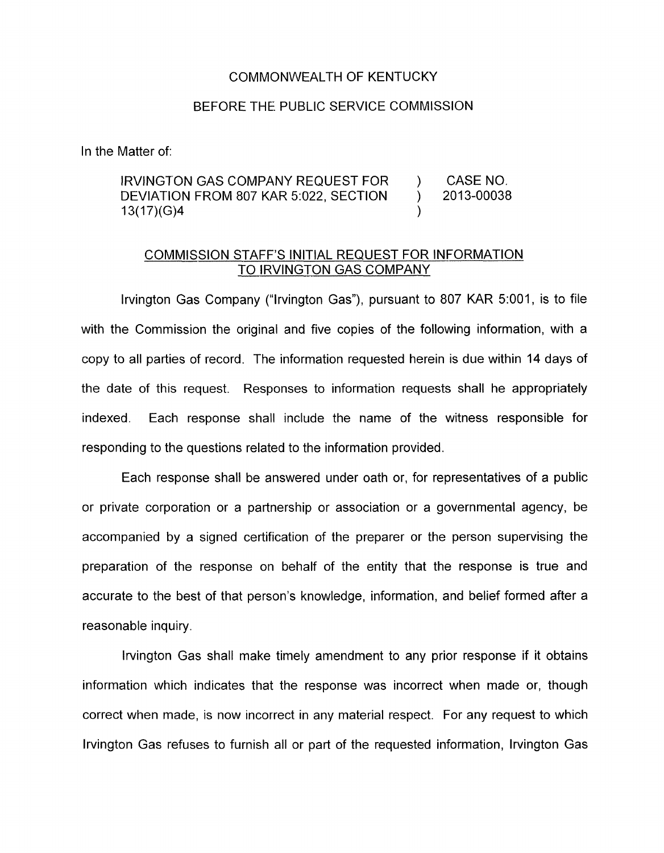## COMMONWEALTH OF KENTUCKY

## BEFORE THE PUBLIC SERVICE COMMISSION

In the Matter of:

## IRVINGTON GAS COMPANY REQUEST FOR ) CASE NO. DEVIATION FROM 807 KAR 5:022, SECTION ) 2013-00038 13(17)(G)4 )

## COMMESION STAFF'S INITIAL REQUEST FOR INFORMATION TO IRVINGTON GAS COMPANY

lrvington Gas Company ("lrvington Gas"), pursuant to 807 KAR 5:001, is to file with the Commission the original and five copies of the following information, with a copy to all parties of record. The information requested herein is due within 14 days of the date of this request. Responses to information requests shall he appropriately indexed. Each response shall include the name of the witness responsible for responding to the questions related to the information provided.

Each response shall be answered under oath or, for representatives of a public or private corporation or a partnership or association or a governmental agency, be accompanied by a signed certification of the preparer or the person supervising the preparation of the response on behalf of the entity that the response is true and accurate to the best of that person's knowledge, information, and belief formed after a reasonable inquiry

lrvington Gas shall make timely amendment to any prior response if it obtains information which indicates that the response was incorrect when made or, though correct when made, is now incorrect in any material respect. For any request to which lrvington Gas refuses to furnish all or part of the requested information, lrvington Gas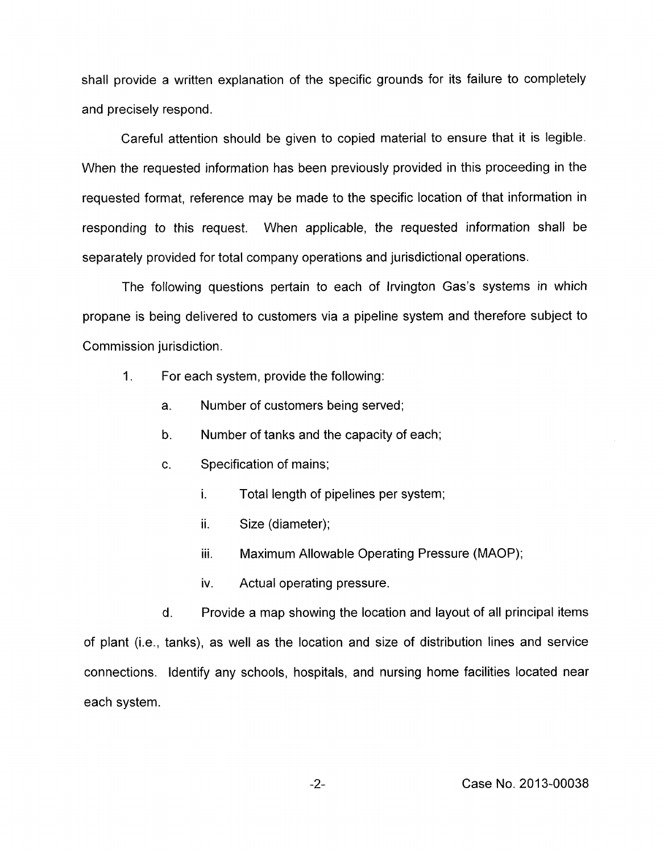shall provide a written explanation of the specific grounds for its failure to completely and precisely respond.

Careful attention should be given to copied material to ensure that it is legible. When the requested information has been previously provided in this proceeding in the requested format, reference may be made to the specific location of that information in responding to this request. When applicable, the requested information shall be separately provided for total company operations and jurisdictional operations.

The following questions pertain to each of Irvington Gas's systems in which propane is being delivered to customers via a pipeline system and therefore subject to Commission jurisdiction.

- 1. For each system, provide the following:
	- a. Number of customers being served;
	- b. Number of tanks and the capacity of each;
	- c. Specification of mains;
		- **I.**  Total length of pipelines per system;
		- ii. Size (diameter);
		- iii. Maximum Allowable Operating Pressure (MAOP);
		- iv. Actual operating pressure.

Provide a map showing the location and layout of all principal items of plant (i.e., tanks), as well as the location and size of distribution lines and service connections. Identify any schools, hospitals, and nursing home facilities located near each system. d.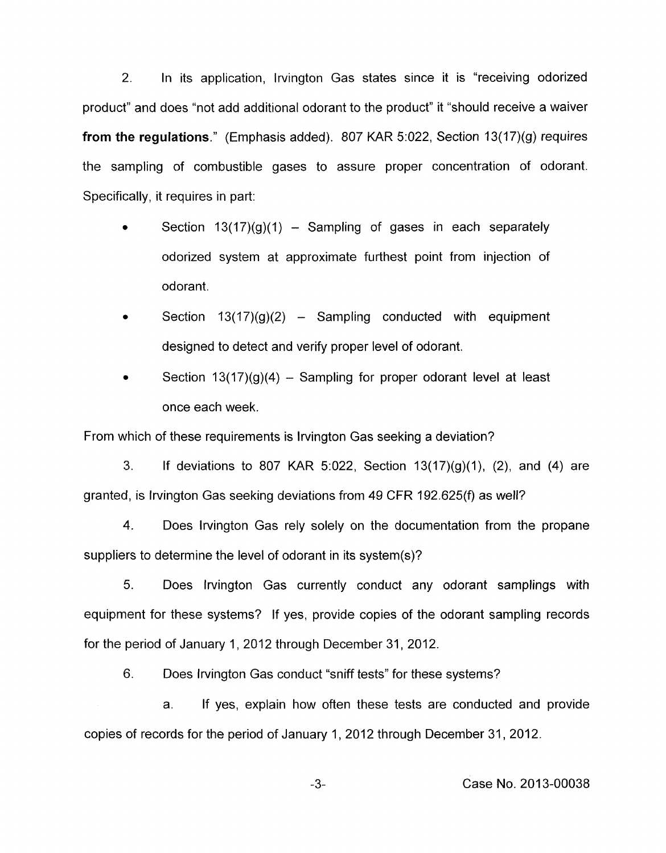2. In its application, lrvington Gas states since it is "receiving odorized product" and does "not add additional odorant to the product" it "should receive a waiver **from the regulations."** (Emphasis added). 807 KAR 5:022, Section 13(17)(g) requires the sampling of combustible gases to assure proper concentration of odorant. Specifically, it requires in part:

- Section  $13(17)(g)(1)$  Sampling of gases in each separately odorized system at approximate furthest point from injection of odorant.
- Section  $13(17)(g)(2)$  Sampling conducted with equipment designed to detect and verify proper level of odorant.
- Section  $13(17)(q)(4)$  Sampling for proper odorant level at least once each week. **e**

From which of these requirements is lrvington Gas seeking a deviation?

3. If deviations to 807 KAR 5:022, Section  $13(17)(g)(1)$ , (2), and (4) are granted, is lrvington Gas seeking deviations from 49 CFR 192.625(f) as well?

4. Does lrvington Gas rely solely on the documentation from the propane suppliers to determine the level of odorant in its system(s)?

5. Does lrvington Gas currently conduct any odorant samplings with equipment for these systems? If yes, provide copies of the odorant sampling records for the period of January 1,2012 through December 31,2012.

6. Does lrvington Gas conduct "sniff tests" for these systems?

a. If yes, explain how often these tests are conducted and provide copies of records for the period of January 1, 2012 through December 31, 2012.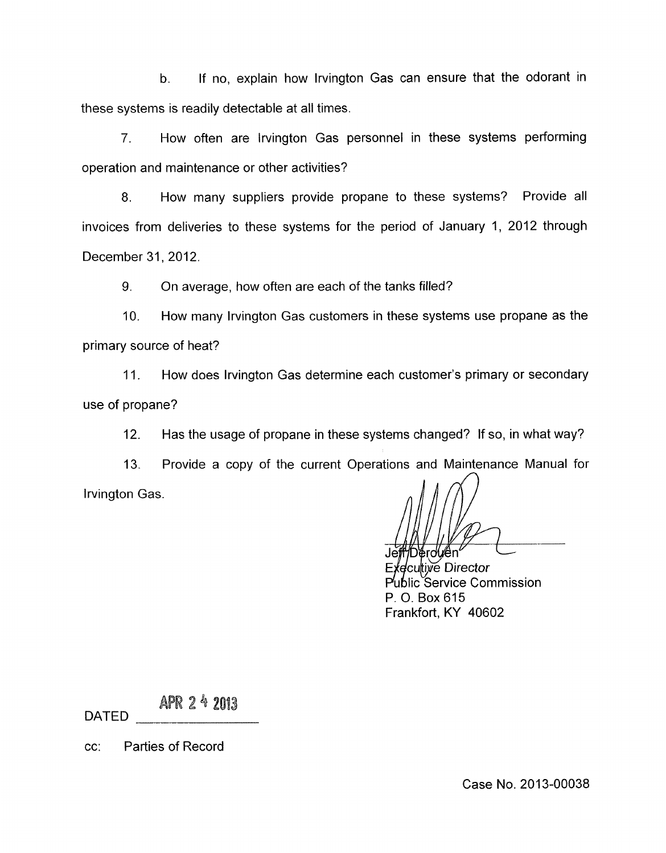b. If no, explain how lrvington Gas can ensure that the odorant in these systems is readily detectable at all times.

*7.* How often are lrvington Gas personnel in these systems performing operation and maintenance or other activities?

8. How many suppliers provide propane to these systems? Provide all invoices from deliveries to these systems for the period of January 1, 2012 through December 31,2012.

9. On average, how often are each of the tanks filled?

10. How many lrvington Gas customers in these systems use propane as the primary source of heat?

11. How does lrvington Gas determine each customer's primary or secondary use of propane?

12. Has the usage of propane in these systems changed? If so, in what way?

13. Provide a copy of the current Operations and Maintenance Manual for lrvington Gas.

<sup>4</sup>Dérolu⁄ên

ecultive Director ublic Service Commission P. 0. Box 615 Frankfort, KY 40602

APR 2 4 2013 DATED

cc: Parties of Record